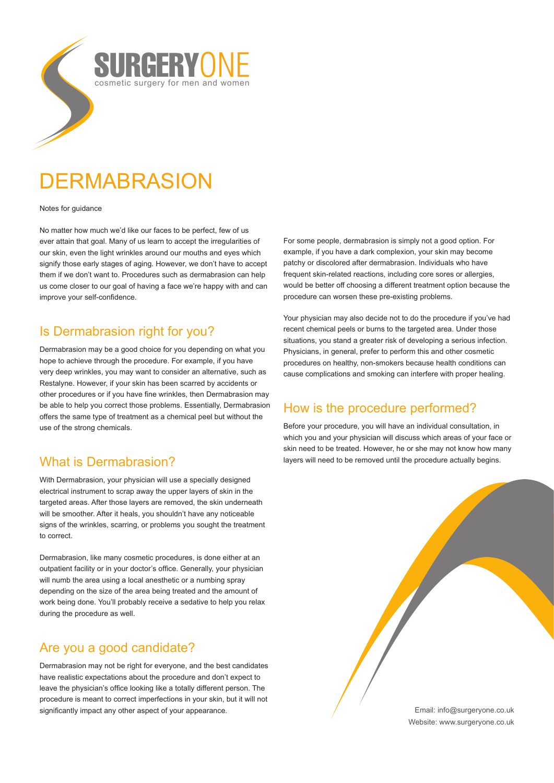# **DERMABRASION**

#### Notes for guidance

No matter how much we'd like our faces to be perfect, few of us ever attain that goal. Many of us learn to accept the irregularities of our skin, even the light wrinkles around our mouths and eyes which signify those early stages of aging. However, we don't have to accept them if we don't want to. Procedures such as dermabrasion can help us come closer to our goal of having a face we're happy with and can improve your self-confidence.

RAERYO

cosmetic surgery for men and women

# Is Dermabrasion right for you?

Dermabrasion may be a good choice for you depending on what you hope to achieve through the procedure. For example, if you have very deep wrinkles, you may want to consider an alternative, such as Restalyne. However, if your skin has been scarred by accidents or other procedures or if you have fine wrinkles, then Dermabrasion may be able to help you correct those problems. Essentially, Dermabrasion offers the same type of treatment as a chemical peel but without the use of the strong chemicals.

# What is Dermabrasion?

With Dermabrasion, your physician will use a specially designed electrical instrument to scrap away the upper layers of skin in the targeted areas. After those layers are removed, the skin underneath will be smoother. After it heals, you shouldn't have any noticeable signs of the wrinkles, scarring, or problems you sought the treatment to correct.

Dermabrasion, like many cosmetic procedures, is done either at an outpatient facility or in your doctor's office. Generally, your physician will numb the area using a local anesthetic or a numbing spray depending on the size of the area being treated and the amount of work being done. You'll probably receive a sedative to help you relax during the procedure as well.

# Are you a good candidate?

Dermabrasion may not be right for everyone, and the best candidates have realistic expectations about the procedure and don't expect to leave the physician's office looking like a totally different person. The procedure is meant to correct imperfections in your skin, but it will not significantly impact any other aspect of your appearance.

For some people, dermabrasion is simply not a good option. For example, if you have a dark complexion, your skin may become patchy or discolored after dermabrasion. Individuals who have frequent skin-related reactions, including core sores or allergies, would be better off choosing a different treatment option because the procedure can worsen these pre-existing problems.

Your physician may also decide not to do the procedure if you've had recent chemical peels or burns to the targeted area. Under those situations, you stand a greater risk of developing a serious infection. Physicians, in general, prefer to perform this and other cosmetic procedures on healthy, non-smokers because health conditions can cause complications and smoking can interfere with proper healing.

# How is the procedure performed?

Before your procedure, you will have an individual consultation, in which you and your physician will discuss which areas of your face or skin need to be treated. However, he or she may not know how many layers will need to be removed until the procedure actually begins.

> Email: info@surgeryone.co.uk Website: www.surgeryone.co.uk